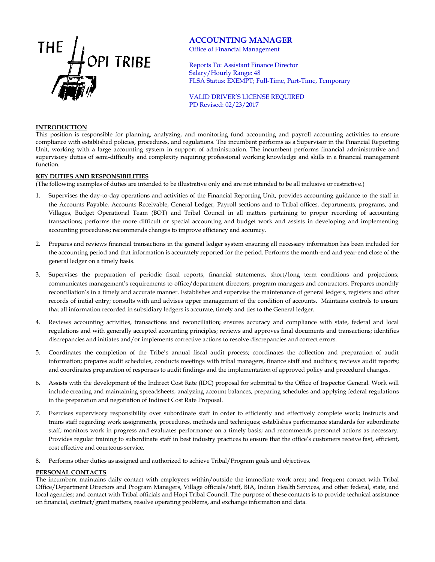

# **ACCOUNTING MANAGER**

Office of Financial Management

Reports To: Assistant Finance Director Salary/Hourly Range: 48 FLSA Status: EXEMPT; Full-Time, Part-Time, Temporary

VALID DRIVER'S LICENSE REQUIRED PD Revised: 02/23/2017

### **INTRODUCTION**

This position is responsible for planning, analyzing, and monitoring fund accounting and payroll accounting activities to ensure compliance with established policies, procedures, and regulations. The incumbent performs as a Supervisor in the Financial Reporting Unit, working with a large accounting system in support of administration. The incumbent performs financial administrative and supervisory duties of semi-difficulty and complexity requiring professional working knowledge and skills in a financial management function.

### **KEY DUTIES AND RESPONSIBILITIES**

(The following examples of duties are intended to be illustrative only and are not intended to be all inclusive or restrictive.)

- 1. Supervises the day-to-day operations and activities of the Financial Reporting Unit, provides accounting guidance to the staff in the Accounts Payable, Accounts Receivable, General Ledger, Payroll sections and to Tribal offices, departments, programs, and Villages, Budget Operational Team (BOT) and Tribal Council in all matters pertaining to proper recording of accounting transactions; performs the more difficult or special accounting and budget work and assists in developing and implementing accounting procedures; recommends changes to improve efficiency and accuracy.
- 2. Prepares and reviews financial transactions in the general ledger system ensuring all necessary information has been included for the accounting period and that information is accurately reported for the period. Performs the month-end and year-end close of the general ledger on a timely basis.
- 3. Supervises the preparation of periodic fiscal reports, financial statements, short/long term conditions and projections; communicates management's requirements to office/department directors, program managers and contractors. Prepares monthly reconciliation's in a timely and accurate manner. Establishes and supervise the maintenance of general ledgers, registers and other records of initial entry; consults with and advises upper management of the condition of accounts. Maintains controls to ensure that all information recorded in subsidiary ledgers is accurate, timely and ties to the General ledger.
- 4. Reviews accounting activities, transactions and reconciliation; ensures accuracy and compliance with state, federal and local regulations and with generally accepted accounting principles; reviews and approves final documents and transactions; identifies discrepancies and initiates and/or implements corrective actions to resolve discrepancies and correct errors.
- 5. Coordinates the completion of the Tribe's annual fiscal audit process; coordinates the collection and preparation of audit information; prepares audit schedules, conducts meetings with tribal managers, finance staff and auditors; reviews audit reports; and coordinates preparation of responses to audit findings and the implementation of approved policy and procedural changes.
- 6. Assists with the development of the Indirect Cost Rate (IDC) proposal for submittal to the Office of Inspector General. Work will include creating and maintaining spreadsheets, analyzing account balances, preparing schedules and applying federal regulations in the preparation and negotiation of Indirect Cost Rate Proposal.
- 7. Exercises supervisory responsibility over subordinate staff in order to efficiently and effectively complete work; instructs and trains staff regarding work assignments, procedures, methods and techniques; establishes performance standards for subordinate staff; monitors work in progress and evaluates performance on a timely basis; and recommends personnel actions as necessary. Provides regular training to subordinate staff in best industry practices to ensure that the office's customers receive fast, efficient, cost effective and courteous service.
- 8. Performs other duties as assigned and authorized to achieve Tribal/Program goals and objectives.

## **PERSONAL CONTACTS**

The incumbent maintains daily contact with employees within/outside the immediate work area; and frequent contact with Tribal Office/Department Directors and Program Managers, Village officials/staff, BIA, Indian Health Services, and other federal, state, and local agencies; and contact with Tribal officials and Hopi Tribal Council. The purpose of these contacts is to provide technical assistance on financial, contract/grant matters, resolve operating problems, and exchange information and data.